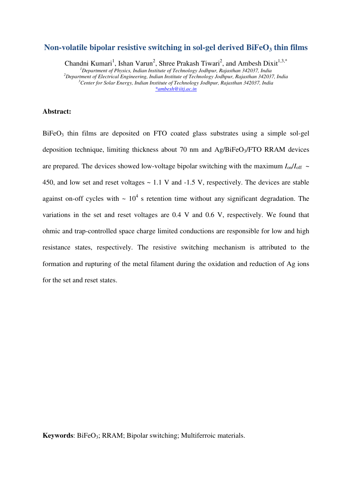# **Non-volatile bipolar resistive switching in sol-gel derived BiFeO3 thin films**

Chandni Kumari<sup>1</sup>, Ishan Varun<sup>2</sup>, Shree Prakash Tiwari<sup>2</sup>, and Ambesh Dixit<sup>1,3,\*</sup> *<sup>1</sup>Department of Physics, Indian Institute of Technology Jodhpur, Rajasthan 342037, India <sup>2</sup>Department of Electrical Engineering, Indian Institute of Technology Jodhpur, Rajasthan 342037, India <sup>3</sup>Center for Solar Energy, Indian Institute of Technology Jodhpur, Rajasthan 342037, India [\\*ambesh@iitj.ac.in](mailto:*ambesh@iitj.ac.in)* 

### **Abstract:**

 $BiFeO<sub>3</sub>$  thin films are deposited on FTO coated glass substrates using a simple sol-gel deposition technique, limiting thickness about 70 nm and Ag/BiFeO<sub>3</sub>/FTO RRAM devices are prepared. The devices showed low-voltage bipolar switching with the maximum  $I_{on}/I_{off}$  ~ 450, and low set and reset voltages  $\sim$  1.1 V and -1.5 V, respectively. The devices are stable against on-off cycles with  $\sim 10^4$  s retention time without any significant degradation. The variations in the set and reset voltages are 0.4 V and 0.6 V, respectively. We found that ohmic and trap-controlled space charge limited conductions are responsible for low and high resistance states, respectively. The resistive switching mechanism is attributed to the formation and rupturing of the metal filament during the oxidation and reduction of Ag ions for the set and reset states.

**Keywords:** BiFeO<sub>3</sub>; RRAM; Bipolar switching; Multiferroic materials.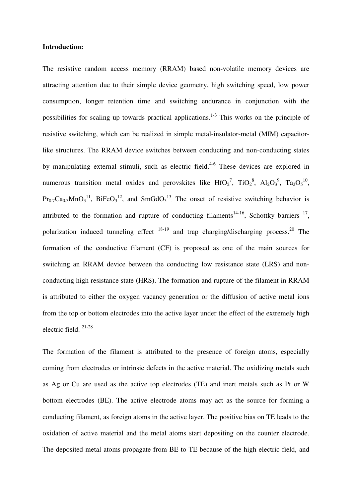### **Introduction:**

The resistive random access memory (RRAM) based non-volatile memory devices are attracting attention due to their simple device geometry, high switching speed, low power consumption, longer retention time and switching endurance in conjunction with the possibilities for scaling up towards practical applications.<sup>1-3</sup> This works on the principle of resistive switching, which can be realized in simple metal-insulator-metal (MIM) capacitorlike structures. The RRAM device switches between conducting and non-conducting states by manipulating external stimuli, such as electric field.<sup>4-6</sup> These devices are explored in numerous transition metal oxides and perovskites like  $HfO_2^7$ ,  $TiO_2^8$ ,  $Al_2O_3^9$ ,  $Ta_2O_5^{10}$ ,  $Pr_{0.7}Ca_{0.3}MnO_3^{11}$ , BiFeO<sub>3</sub><sup>12</sup>, and SmGdO<sub>3</sub><sup>13</sup>. The onset of resistive switching behavior is attributed to the formation and rupture of conducting filaments<sup>14-16</sup>, Schottky barriers  $17$ , polarization induced tunneling effect  $18-19$  and trap charging/discharging process.<sup>20</sup> The formation of the conductive filament (CF) is proposed as one of the main sources for switching an RRAM device between the conducting low resistance state (LRS) and nonconducting high resistance state (HRS). The formation and rupture of the filament in RRAM is attributed to either the oxygen vacancy generation or the diffusion of active metal ions from the top or bottom electrodes into the active layer under the effect of the extremely high electric field. 21-28

The formation of the filament is attributed to the presence of foreign atoms, especially coming from electrodes or intrinsic defects in the active material. The oxidizing metals such as Ag or Cu are used as the active top electrodes (TE) and inert metals such as Pt or W bottom electrodes (BE). The active electrode atoms may act as the source for forming a conducting filament, as foreign atoms in the active layer. The positive bias on TE leads to the oxidation of active material and the metal atoms start depositing on the counter electrode. The deposited metal atoms propagate from BE to TE because of the high electric field, and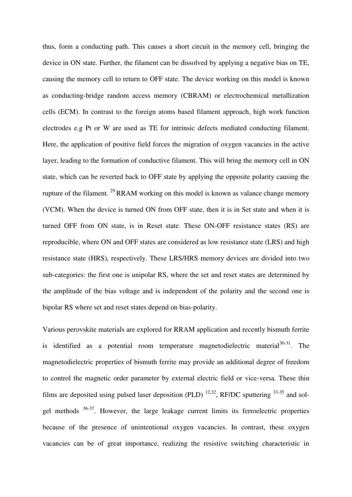thus, form a conducting path. This causes a short circuit in the memory cell, bringing the device in ON state. Further, the filament can be dissolved by applying a negative bias on TE, causing the memory cell to return to OFF state. The device working on this model is known as conducting-bridge random access memory (CBRAM) or electrochemical metallization cells (ECM). In contrast to the foreign atoms based filament approach, high work function electrodes e.g Pt or W are used as TE for intrinsic defects mediated conducting filament. Here, the application of positive field forces the migration of oxygen vacancies in the active layer, leading to the formation of conductive filament. This will bring the memory cell in ON state, which can be reverted back to OFF state by applying the opposite polarity causing the rupture of the filament. <sup>29</sup> RRAM working on this model is known as valance change memory (VCM). When the device is turned ON from OFF state, then it is in Set state and when it is turned OFF from ON state, is in Reset state. These ON-OFF resistance states (RS) are reproducible, where ON and OFF states are considered as low resistance state (LRS) and high resistance state (HRS), respectively. These LRS/HRS memory devices are divided into two sub-categories: the first one is unipolar RS, where the set and reset states are determined by the amplitude of the bias voltage and is independent of the polarity and the second one is bipolar RS where set and reset states depend on bias-polarity.

Various perovskite materials are explored for RRAM application and recently bismuth ferrite is identified as a potential room temperature magnetodielectric material  $30-31$ . The magnetodielectric properties of bismuth ferrite may provide an additional degree of freedom to control the magnetic order parameter by external electric field or vice-versa. These thin films are deposited using pulsed laser deposition (PLD)  $^{12,32}$ , RF/DC sputtering  $^{33-35}$  and solgel methods <sup>36-37</sup>. However, the large leakage current limits its ferroelectric properties because of the presence of unintentional oxygen vacancies. In contrast, these oxygen vacancies can be of great importance, realizing the resistive switching characteristic in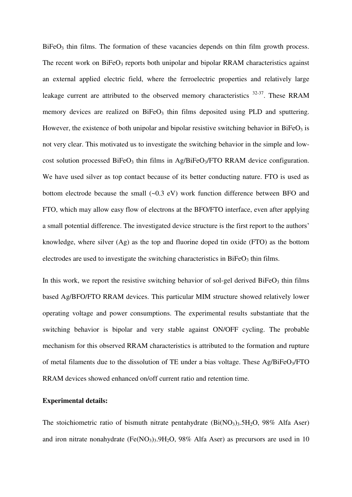$BiFeO<sub>3</sub>$  thin films. The formation of these vacancies depends on thin film growth process. The recent work on  $BiFeO<sub>3</sub>$  reports both unipolar and bipolar RRAM characteristics against an external applied electric field, where the ferroelectric properties and relatively large leakage current are attributed to the observed memory characteristics  $32-37$ . These RRAM memory devices are realized on  $BiFeO<sub>3</sub>$  thin films deposited using PLD and sputtering. However, the existence of both unipolar and bipolar resistive switching behavior in  $BiFeO<sub>3</sub>$  is not very clear. This motivated us to investigate the switching behavior in the simple and lowcost solution processed BiFeO<sub>3</sub> thin films in Ag/BiFeO<sub>3</sub>/FTO RRAM device configuration. We have used silver as top contact because of its better conducting nature. FTO is used as bottom electrode because the small (~0.3 eV) work function difference between BFO and FTO, which may allow easy flow of electrons at the BFO/FTO interface, even after applying a small potential difference. The investigated device structure is the first report to the authors" knowledge, where silver (Ag) as the top and fluorine doped tin oxide (FTO) as the bottom electrodes are used to investigate the switching characteristics in  $B$ iFeO<sub>3</sub> thin films.

In this work, we report the resistive switching behavior of sol-gel derived  $BiFeO<sub>3</sub>$  thin films based Ag/BFO/FTO RRAM devices. This particular MIM structure showed relatively lower operating voltage and power consumptions. The experimental results substantiate that the switching behavior is bipolar and very stable against ON/OFF cycling. The probable mechanism for this observed RRAM characteristics is attributed to the formation and rupture of metal filaments due to the dissolution of TE under a bias voltage. These  $Ag/BiFeO<sub>3</sub>/FTO$ RRAM devices showed enhanced on/off current ratio and retention time.

### **Experimental details:**

The stoichiometric ratio of bismuth nitrate pentahydrate  $(Bi(NO_3)_3, 5H_2O, 98\%$  Alfa Aser) and iron nitrate nonahydrate  $(Fe(NO<sub>3</sub>)<sub>3</sub>.9H<sub>2</sub>O, 98% Alfa Aser)$  as precursors are used in 10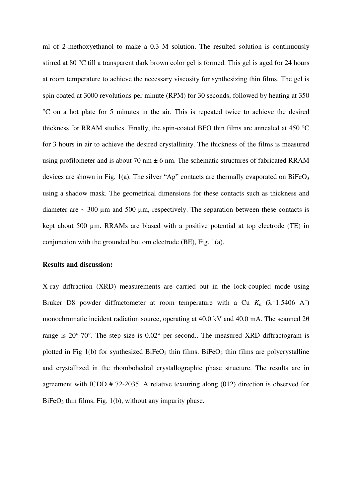ml of 2-methoxyethanol to make a 0.3 M solution. The resulted solution is continuously stirred at 80 °C till a transparent dark brown color gel is formed. This gel is aged for 24 hours at room temperature to achieve the necessary viscosity for synthesizing thin films. The gel is spin coated at 3000 revolutions per minute (RPM) for 30 seconds, followed by heating at 350 °C on a hot plate for 5 minutes in the air. This is repeated twice to achieve the desired thickness for RRAM studies. Finally, the spin-coated BFO thin films are annealed at 450 °C for 3 hours in air to achieve the desired crystallinity. The thickness of the films is measured using profilometer and is about 70 nm  $\pm$  6 nm. The schematic structures of fabricated RRAM devices are shown in Fig. 1(a). The silver "Ag" contacts are thermally evaporated on  $BiFeO<sub>3</sub>$ using a shadow mask. The geometrical dimensions for these contacts such as thickness and diameter are  $\sim$  300  $\mu$ m and 500  $\mu$ m, respectively. The separation between these contacts is kept about 500 µm. RRAMs are biased with a positive potential at top electrode (TE) in conjunction with the grounded bottom electrode (BE), Fig. 1(a).

## **Results and discussion:**

X-ray diffraction (XRD) measurements are carried out in the lock-coupled mode using Bruker D8 powder diffractometer at room temperature with a Cu  $K_a$  ( $\lambda$ =1.5406 A<sup>°</sup>) monochromatic incident radiation source, operating at 40.0 kV and 40.0 mA. The scanned 2θ range is 20°-70°. The step size is 0.02° per second.. The measured XRD diffractogram is plotted in Fig 1(b) for synthesized BiFe $O_3$  thin films. BiFe $O_3$  thin films are polycrystalline and crystallized in the rhombohedral crystallographic phase structure. The results are in agreement with ICDD # 72-2035. A relative texturing along (012) direction is observed for  $BiFeO<sub>3</sub>$  thin films, Fig. 1(b), without any impurity phase.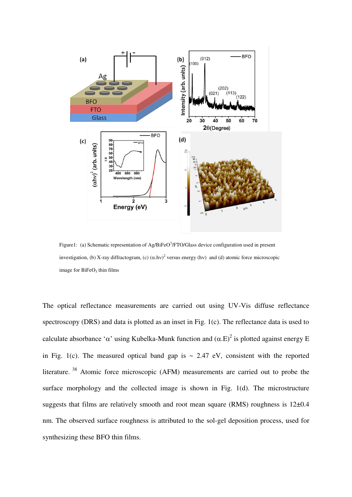

Figure1: (a) Schematic representation of Ag/BiFeO<sup>3</sup>/FTO/Glass device configuration used in present investigation, (b) X-ray diffractogram, (c)  $(\alpha \cdot h \nu)^2$  versus energy (hv) and (d) atomic force microscopic image for  $BiFeO<sub>3</sub>$  thin films

The optical reflectance measurements are carried out using UV-Vis diffuse reflectance spectroscopy (DRS) and data is plotted as an inset in Fig. 1(c). The reflectance data is used to calculate absorbance ' $\alpha$ ' using Kubelka-Munk function and  $(\alpha.E)^2$  is plotted against energy E in Fig. 1(c). The measured optical band gap is  $\sim 2.47$  eV, consistent with the reported literature.<sup>38</sup> Atomic force microscopic (AFM) measurements are carried out to probe the surface morphology and the collected image is shown in Fig. 1(d). The microstructure suggests that films are relatively smooth and root mean square (RMS) roughness is 12±0.4 nm. The observed surface roughness is attributed to the sol-gel deposition process, used for synthesizing these BFO thin films.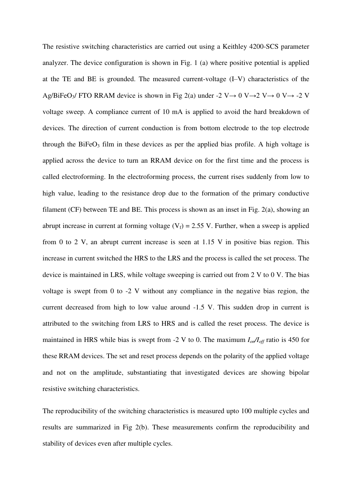The resistive switching characteristics are carried out using a Keithley 4200-SCS parameter analyzer. The device configuration is shown in Fig. 1 (a) where positive potential is applied at the TE and BE is grounded. The measured current-voltage (I–V) characteristics of the Ag/BiFeO<sub>3</sub>/ FTO RRAM device is shown in Fig 2(a) under -2 V  $\rightarrow$  0 V  $\rightarrow$  2 V  $\rightarrow$  0 V  $\rightarrow$  -2 V voltage sweep. A compliance current of 10 mA is applied to avoid the hard breakdown of devices. The direction of current conduction is from bottom electrode to the top electrode through the BiFe $O_3$  film in these devices as per the applied bias profile. A high voltage is applied across the device to turn an RRAM device on for the first time and the process is called electroforming. In the electroforming process, the current rises suddenly from low to high value, leading to the resistance drop due to the formation of the primary conductive filament (CF) between TE and BE. This process is shown as an inset in Fig. 2(a), showing an abrupt increase in current at forming voltage  $(V_f) = 2.55$  V. Further, when a sweep is applied from 0 to 2 V, an abrupt current increase is seen at 1.15 V in positive bias region. This increase in current switched the HRS to the LRS and the process is called the set process. The device is maintained in LRS, while voltage sweeping is carried out from 2 V to 0 V. The bias voltage is swept from 0 to -2 V without any compliance in the negative bias region, the current decreased from high to low value around -1.5 V. This sudden drop in current is attributed to the switching from LRS to HRS and is called the reset process. The device is maintained in HRS while bias is swept from -2 V to 0. The maximum  $I_{on}/I_{off}$  ratio is 450 for these RRAM devices. The set and reset process depends on the polarity of the applied voltage and not on the amplitude, substantiating that investigated devices are showing bipolar resistive switching characteristics.

The reproducibility of the switching characteristics is measured upto 100 multiple cycles and results are summarized in Fig 2(b). These measurements confirm the reproducibility and stability of devices even after multiple cycles.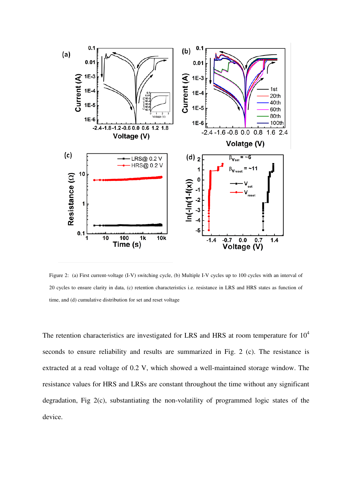

Figure 2: (a) First current-voltage (I-V) switching cycle, (b) Multiple I-V cycles up to 100 cycles with an interval of 20 cycles to ensure clarity in data, (c) retention characteristics i.e. resistance in LRS and HRS states as function of time, and (d) cumulative distribution for set and reset voltage

The retention characteristics are investigated for LRS and HRS at room temperature for  $10<sup>4</sup>$ seconds to ensure reliability and results are summarized in Fig. 2 (c). The resistance is extracted at a read voltage of 0.2 V, which showed a well-maintained storage window. The resistance values for HRS and LRSs are constant throughout the time without any significant degradation, Fig 2(c), substantiating the non-volatility of programmed logic states of the device.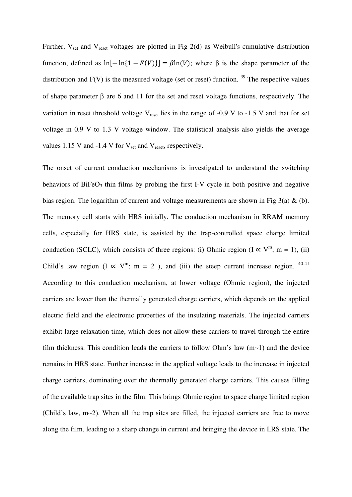Further,  $V_{\text{set}}$  and  $V_{\text{reset}}$  voltages are plotted in Fig 2(d) as Weibull's cumulative distribution function, defined as  $\ln[-\ln{1 - F(V)}] = \beta \ln(V)$ ; where  $\beta$  is the shape parameter of the distribution and  $F(V)$  is the measured voltage (set or reset) function. <sup>39</sup> The respective values of shape parameter  $\beta$  are 6 and 11 for the set and reset voltage functions, respectively. The variation in reset threshold voltage  $V_{reset}$  lies in the range of -0.9 V to -1.5 V and that for set voltage in 0.9 V to 1.3 V voltage window. The statistical analysis also yields the average values 1.15 V and -1.4 V for  $V_{\text{set}}$  and  $V_{\text{reset}}$ , respectively.

The onset of current conduction mechanisms is investigated to understand the switching behaviors of  $BiFeO<sub>3</sub>$  thin films by probing the first I-V cycle in both positive and negative bias region. The logarithm of current and voltage measurements are shown in Fig  $3(a) \& (b)$ . The memory cell starts with HRS initially. The conduction mechanism in RRAM memory cells, especially for HRS state, is assisted by the trap-controlled space charge limited conduction (SCLC), which consists of three regions: (i) Ohmic region (I  $\propto$  V<sup>m</sup>; m = 1), (ii) Child's law region (I  $\propto V^m$ ; m = 2), and (iii) the steep current increase region. <sup>40-41</sup> According to this conduction mechanism, at lower voltage (Ohmic region), the injected carriers are lower than the thermally generated charge carriers, which depends on the applied electric field and the electronic properties of the insulating materials. The injected carriers exhibit large relaxation time, which does not allow these carriers to travel through the entire film thickness. This condition leads the carriers to follow Ohm's law  $(m<sub>1</sub>)$  and the device remains in HRS state. Further increase in the applied voltage leads to the increase in injected charge carriers, dominating over the thermally generated charge carriers. This causes filling of the available trap sites in the film. This brings Ohmic region to space charge limited region (Child's law,  $m\sim 2$ ). When all the trap sites are filled, the injected carriers are free to move along the film, leading to a sharp change in current and bringing the device in LRS state. The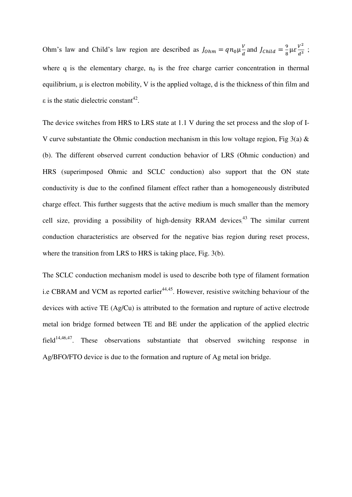Ohm's law and Child's law region are described as  $J_{0hm} = q n_0 \mu_{\tau}^V$  $\frac{v}{d}$  and  $J_{\text{Child}} = \frac{9}{8}$  $rac{9}{8} \mu \varepsilon \frac{V^2}{d^3}$  $\frac{v}{d^3}$ ; where q is the elementary charge,  $n_0$  is the free charge carrier concentration in thermal equilibrium, μ is electron mobility, V is the applied voltage, d is the thickness of thin film and  $\varepsilon$  is the static dielectric constant<sup>42</sup>.

The device switches from HRS to LRS state at 1.1 V during the set process and the slop of I-V curve substantiate the Ohmic conduction mechanism in this low voltage region. Fig 3(a)  $\&$ (b). The different observed current conduction behavior of LRS (Ohmic conduction) and HRS (superimposed Ohmic and SCLC conduction) also support that the ON state conductivity is due to the confined filament effect rather than a homogeneously distributed charge effect. This further suggests that the active medium is much smaller than the memory cell size, providing a possibility of high-density RRAM devices.<sup>43</sup> The similar current conduction characteristics are observed for the negative bias region during reset process, where the transition from LRS to HRS is taking place, Fig. 3(b).

The SCLC conduction mechanism model is used to describe both type of filament formation i.e CBRAM and VCM as reported earlier<sup>44,45</sup>. However, resistive switching behaviour of the devices with active TE (Ag/Cu) is attributed to the formation and rupture of active electrode metal ion bridge formed between TE and BE under the application of the applied electric field<sup>14,46,47</sup>. These observations substantiate that observed switching response in Ag/BFO/FTO device is due to the formation and rupture of Ag metal ion bridge.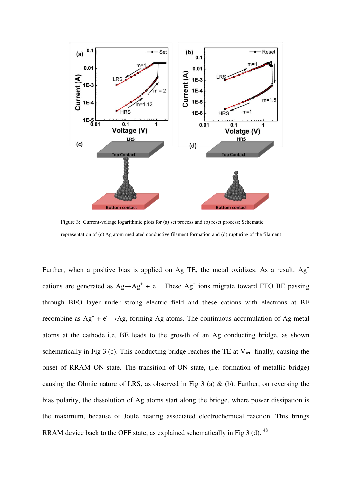

Figure 3: Current-voltage logarithmic plots for (a) set process and (b) reset process; Schematic representation of (c) Ag atom mediated conductive filament formation and (d) rupturing of the filament

Further, when a positive bias is applied on Ag TE, the metal oxidizes. As a result,  $Ag<sup>+</sup>$ cations are generated as  $Ag \rightarrow Ag^+ + e^-$ . These  $Ag^+$  ions migrate toward FTO BE passing through BFO layer under strong electric field and these cations with electrons at BE recombine as  $Ag^+ + e^- \rightarrow Ag$ , forming Ag atoms. The continuous accumulation of Ag metal atoms at the cathode i.e. BE leads to the growth of an Ag conducting bridge, as shown schematically in Fig 3 (c). This conducting bridge reaches the TE at  $V_{set}$  finally, causing the onset of RRAM ON state. The transition of ON state, (i.e. formation of metallic bridge) causing the Ohmic nature of LRS, as observed in Fig 3 (a)  $\&$  (b). Further, on reversing the bias polarity, the dissolution of Ag atoms start along the bridge, where power dissipation is the maximum, because of Joule heating associated electrochemical reaction. This brings RRAM device back to the OFF state, as explained schematically in Fig 3 (d).  $^{48}$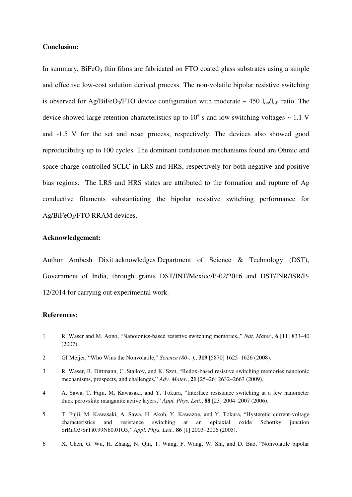### **Conclusion:**

In summary,  $BiFeO<sub>3</sub>$  thin films are fabricated on FTO coated glass substrates using a simple and effective low-cost solution derived process. The non-volatile bipolar resistive switching is observed for Ag/BiFeO<sub>3</sub>/FTO device configuration with moderate  $\sim 450 \, I_{\text{on}}/I_{\text{off}}$  ratio. The device showed large retention characteristics up to  $10^4$  s and low switching voltages  $\sim 1.1$  V and -1.5 V for the set and reset process, respectively. The devices also showed good reproducibility up to 100 cycles. The dominant conduction mechanisms found are Ohmic and space charge controlled SCLC in LRS and HRS, respectively for both negative and positive bias regions. The LRS and HRS states are attributed to the formation and rupture of Ag conductive filaments substantiating the bipolar resistive switching performance for Ag/BiFeO3/FTO RRAM devices.

### **Acknowledgement:**

Author Ambesh Dixit acknowledges Department of Science & Technology (DST), Government of India, through grants DST/INT/Mexico/P-02/2016 and DST/INR/ISR/P-12/2014 for carrying out experimental work.

#### **References:**

- 1 R. Waser and M. Aono, "Nanoionics-based resistive switching memories.," *Nat. Mater.*, **6** [11] 833–40 (2007).
- 2 GI Meijer, "Who Wins the Nonvolatile," *Science (80-. ).*, **319** [5870] 1625–1626 (2008).
- 3 R. Waser, R. Dittmann, C. Staikov, and K. Szot, "Redox-based resistive switching memories nanoionic mechanisms, prospects, and challenges," *Adv. Mater.*, **21** [25–26] 2632–2663 (2009).
- 4 A. Sawa, T. Fujii, M. Kawasaki, and Y. Tokura, "Interface resistance switching at a few nanometer thick perovskite manganite active layers," *Appl. Phys. Lett.*, **88** [23] 2004–2007 (2006).
- 5 T. Fujii, M. Kawasaki, A. Sawa, H. Akoh, Y. Kawazoe, and Y. Tokura, "Hysteretic current-voltage characteristics and resistance switching at an epitaxial oxide Schottky junction SrRuO3/SrTi0.99Nb0.01O3," *Appl. Phys. Lett.*, **86** [1] 2003–2006 (2005).
- 6 X. Chen, G. Wu, H. Zhang, N. Qin, T. Wang, F. Wang, W. Shi, and D. Bao, "Nonvolatile bipolar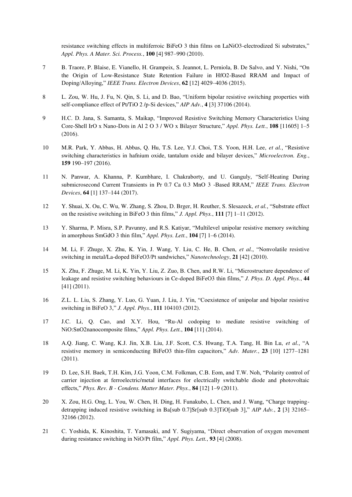resistance switching effects in multiferroic BiFeO 3 thin films on LaNiO3-electrodized Si substrates," *Appl. Phys. A Mater. Sci. Process.*, **100** [4] 987–990 (2010).

- 7 B. Traore, P. Blaise, E. Vianello, H. Grampeix, S. Jeannot, L. Perniola, B. De Salvo, and Y. Nishi, "On the Origin of Low-Resistance State Retention Failure in HfO2-Based RRAM and Impact of Doping/Alloying," *IEEE Trans. Electron Devices*, **62** [12] 4029–4036 (2015).
- 8 L. Zou, W. Hu, J. Fu, N. Qin, S. Li, and D. Bao, "Uniform bipolar resistive switching properties with self-compliance effect of Pt/TiO 2 /p-Si devices," *AIP Adv.*, **4** [3] 37106 (2014).
- 9 H.C. D. Jana, S. Samanta, S. Maikap, "Improved Resistive Switching Memory Characteristics Using Core-Shell IrO x Nano-Dots in Al 2 O 3 / WO x Bilayer Structure," *Appl. Phys. Lett.*, **108** [11605] 1–5 (2016).
- 10 M.R. Park, Y. Abbas, H. Abbas, Q. Hu, T.S. Lee, Y.J. Choi, T.S. Yoon, H.H. Lee, *et al.*, "Resistive switching characteristics in hafnium oxide, tantalum oxide and bilayer devices," *Microelectron. Eng.*, **159** 190–197 (2016).
- 11 N. Panwar, A. Khanna, P. Kumbhare, I. Chakraborty, and U. Ganguly, "Self-Heating During submicrosecond Current Transients in Pr 0.7 Ca 0.3 MnO 3 -Based RRAM," *IEEE Trans. Electron Devices*, **64** [1] 137–144 (2017).
- 12 Y. Shuai, X. Ou, C. Wu, W. Zhang, S. Zhou, D. Brger, H. Reuther, S. Slesazeck, *et al.*, "Substrate effect on the resistive switching in BiFeO 3 thin films," *J. Appl. Phys.*, **111** [7] 1–11 (2012).
- 13 Y. Sharma, P. Misra, S.P. Pavunny, and R.S. Katiyar, "Multilevel unipolar resistive memory switching in amorphous SmGdO 3 thin film," *Appl. Phys. Lett.*, **104** [7] 1–6 (2014).
- 14 M. Li, F. Zhuge, X. Zhu, K. Yin, J. Wang, Y. Liu, C. He, B. Chen, *et al.*, "Nonvolatile resistive switching in metal/La-doped BiFeO3/Pt sandwiches," *Nanotechnology*, **21** [42] (2010).
- 15 X. Zhu, F. Zhuge, M. Li, K. Yin, Y. Liu, Z. Zuo, B. Chen, and R.W. Li, "Microstructure dependence of leakage and resistive switching behaviours in Ce-doped BiFeO3 thin films," *J. Phys. D. Appl. Phys.*, **44** [41] (2011).
- 16 Z.L. L. Liu, S. Zhang, Y. Luo, G. Yuan, J. Liu, J. Yin, "Coexistence of unipolar and bipolar resistive switching in BiFeO 3," *J. Appl. Phys.*, **111** 104103 (2012).
- 17 J.C. Li, Q. Cao, and X.Y. Hou, "Ru-Al codoping to mediate resistive switching of NiO:SnO2nanocomposite films," *Appl. Phys. Lett.*, **104** [11] (2014).
- 18 A.Q. Jiang, C. Wang, K.J. Jin, X.B. Liu, J.F. Scott, C.S. Hwang, T.A. Tang, H. Bin Lu, *et al.*, "A resistive memory in semiconducting BiFeO3 thin-film capacitors," *Adv. Mater.*, **23** [10] 1277–1281 (2011).
- 19 D. Lee, S.H. Baek, T.H. Kim, J.G. Yoon, C.M. Folkman, C.B. Eom, and T.W. Noh, "Polarity control of carrier injection at ferroelectric/metal interfaces for electrically switchable diode and photovoltaic effects," *Phys. Rev. B - Condens. Matter Mater. Phys.*, **84** [12] 1–9 (2011).
- 20 X. Zou, H.G. Ong, L. You, W. Chen, H. Ding, H. Funakubo, L. Chen, and J. Wang, "Charge trappingdetrapping induced resistive switching in Ba[sub 0.7]Sr[sub 0.3]TiO[sub 3]," *AIP Adv.*, **2** [3] 32165– 32166 (2012).
- 21 C. Yoshida, K. Kinoshita, T. Yamasaki, and Y. Sugiyama, "Direct observation of oxygen movement during resistance switching in NiO/Pt film," *Appl. Phys. Lett.*, **93** [4] (2008).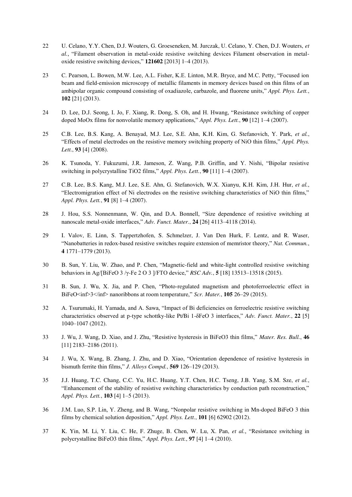- 22 U. Celano, Y.Y. Chen, D.J. Wouters, G. Groeseneken, M. Jurczak, U. Celano, Y. Chen, D.J. Wouters, *et al.*, "Filament observation in metal-oxide resistive switching devices Filament observation in metaloxide resistive switching devices," **121602** [2013] 1–4 (2013).
- 23 C. Pearson, L. Bowen, M.W. Lee, A.L. Fisher, K.E. Linton, M.R. Bryce, and M.C. Petty, "Focused ion beam and field-emission microscopy of metallic filaments in memory devices based on thin films of an ambipolar organic compound consisting of oxadiazole, carbazole, and fluorene units," *Appl. Phys. Lett.*, **102** [21] (2013).
- 24 D. Lee, D.J. Seong, I. Jo, F. Xiang, R. Dong, S. Oh, and H. Hwang, "Resistance switching of copper doped MoOx films for nonvolatile memory applications," *Appl. Phys. Lett.*, **90** [12] 1–4 (2007).
- 25 C.B. Lee, B.S. Kang, A. Benayad, M.J. Lee, S.E. Ahn, K.H. Kim, G. Stefanovich, Y. Park, *et al.*, "Effects of metal electrodes on the resistive memory switching property of NiO thin films," *Appl. Phys. Lett.*, **93** [4] (2008).
- 26 K. Tsunoda, Y. Fukuzumi, J.R. Jameson, Z. Wang, P.B. Griffin, and Y. Nishi, "Bipolar resistive switching in polycrystalline TiO2 films," *Appl. Phys. Lett.*, **90** [11] 1–4 (2007).
- 27 C.B. Lee, B.S. Kang, M.J. Lee, S.E. Ahn, G. Stefanovich, W.X. Xianyu, K.H. Kim, J.H. Hur, *et al.*, "Electromigration effect of Ni electrodes on the resistive switching characteristics of NiO thin films," *Appl. Phys. Lett.*, **91** [8] 1–4 (2007).
- 28 J. Hou, S.S. Nonnenmann, W. Qin, and D.A. Bonnell, "Size dependence of resistive switching at nanoscale metal-oxide interfaces," *Adv. Funct. Mater.*, **24** [26] 4113–4118 (2014).
- 29 I. Valov, E. Linn, S. Tappertzhofen, S. Schmelzer, J. Van Den Hurk, F. Lentz, and R. Waser, "Nanobatteries in redox-based resistive switches require extension of memristor theory," *Nat. Commun.*, **4** 1771–1779 (2013).
- 30 B. Sun, Y. Liu, W. Zhao, and P. Chen, "Magnetic-field and white-light controlled resistive switching behaviors in Ag/[BiFeO 3 /γ-Fe 2 O 3 ]/FTO device," *RSC Adv.*, **5** [18] 13513–13518 (2015).
- 31 B. Sun, J. Wu, X. Jia, and P. Chen, "Photo-regulated magnetism and photoferroelectric effect in BiFeO inf>3 </inf> nanoribbons at room temperature," *Scr. Mater.*, **105** 26–29 (2015).
- 32 A. Tsurumaki, H. Yamada, and A. Sawa, "Impact of Bi deficiencies on ferroelectric resistive switching characteristics observed at p-type schottky-like Pt/Bi 1-δFeO 3 interfaces," *Adv. Funct. Mater.*, **22** [5] 1040–1047 (2012).
- 33 J. Wu, J. Wang, D. Xiao, and J. Zhu, "Resistive hysteresis in BiFeO3 thin films," *Mater. Res. Bull.*, **46** [11] 2183–2186 (2011).
- 34 J. Wu, X. Wang, B. Zhang, J. Zhu, and D. Xiao, "Orientation dependence of resistive hysteresis in bismuth ferrite thin films," *J. Alloys Compd.*, **569** 126–129 (2013).
- 35 J.J. Huang, T.C. Chang, C.C. Yu, H.C. Huang, Y.T. Chen, H.C. Tseng, J.B. Yang, S.M. Sze, *et al.*, "Enhancement of the stability of resistive switching characteristics by conduction path reconstruction," *Appl. Phys. Lett.*, **103** [4] 1–5 (2013).
- 36 J.M. Luo, S.P. Lin, Y. Zheng, and B. Wang, "Nonpolar resistive switching in Mn-doped BiFeO 3 thin films by chemical solution deposition," *Appl. Phys. Lett.*, **101** [6] 62902 (2012).
- 37 K. Yin, M. Li, Y. Liu, C. He, F. Zhuge, B. Chen, W. Lu, X. Pan, *et al.*, "Resistance switching in polycrystalline BiFeO3 thin films," *Appl. Phys. Lett.*, **97** [4] 1–4 (2010).